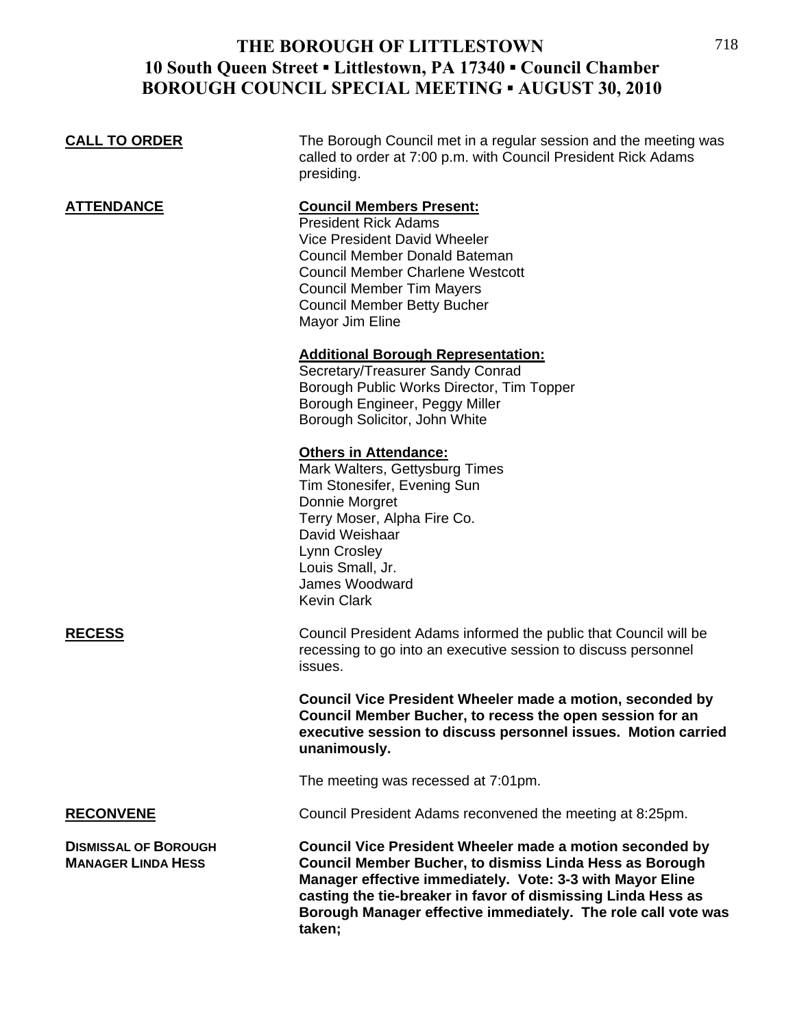## **THE BOROUGH OF LITTLESTOWN 10 South Queen Street ▪ Littlestown, PA 17340 ▪ Council Chamber BOROUGH COUNCIL SPECIAL MEETING ▪ AUGUST 30, 2010**

| <b>CALL TO ORDER</b>                                     | The Borough Council met in a regular session and the meeting was<br>called to order at 7:00 p.m. with Council President Rick Adams<br>presiding.                                                                                                                               |
|----------------------------------------------------------|--------------------------------------------------------------------------------------------------------------------------------------------------------------------------------------------------------------------------------------------------------------------------------|
| <b>ATTENDANCE</b>                                        | <b>Council Members Present:</b><br><b>President Rick Adams</b><br>Vice President David Wheeler<br><b>Council Member Donald Bateman</b><br><b>Council Member Charlene Westcott</b><br><b>Council Member Tim Mayers</b><br><b>Council Member Betty Bucher</b><br>Mayor Jim Eline |
|                                                          | <b>Additional Borough Representation:</b><br>Secretary/Treasurer Sandy Conrad<br>Borough Public Works Director, Tim Topper<br>Borough Engineer, Peggy Miller<br>Borough Solicitor, John White                                                                                  |
|                                                          | <b>Others in Attendance:</b><br>Mark Walters, Gettysburg Times<br>Tim Stonesifer, Evening Sun<br>Donnie Morgret<br>Terry Moser, Alpha Fire Co.<br>David Weishaar<br>Lynn Crosley<br>Louis Small, Jr.<br>James Woodward<br><b>Kevin Clark</b>                                   |
| <b>RECESS</b>                                            | Council President Adams informed the public that Council will be<br>recessing to go into an executive session to discuss personnel<br>issues.                                                                                                                                  |
|                                                          | Council Vice President Wheeler made a motion, seconded by<br>Council Member Bucher, to recess the open session for an<br>executive session to discuss personnel issues. Motion carried<br>unanimously.                                                                         |
|                                                          | The meeting was recessed at 7:01pm.                                                                                                                                                                                                                                            |
| <b>RECONVENE</b>                                         | Council President Adams reconvened the meeting at 8:25pm.                                                                                                                                                                                                                      |
| <b>DISMISSAL OF BOROUGH</b><br><b>MANAGER LINDA HESS</b> | Council Vice President Wheeler made a motion seconded by<br>Council Member Bucher, to dismiss Linda Hess as Borough                                                                                                                                                            |

**Manager effective immediately. Vote: 3-3 with Mayor Eline casting the tie-breaker in favor of dismissing Linda Hess as Borough Manager effective immediately. The role call vote was taken;**